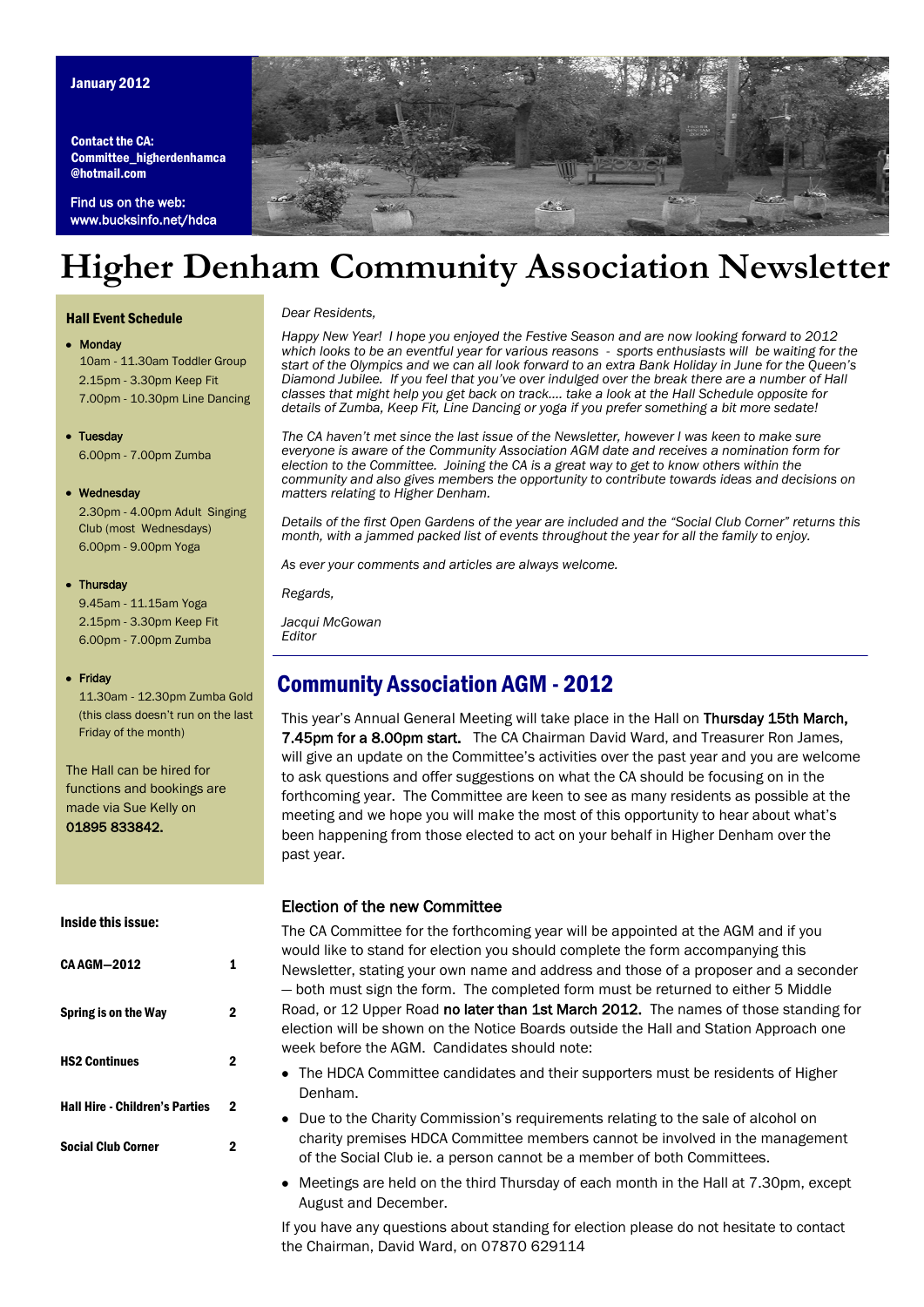#### January 2012

Contact the CA: Committee\_higherdenhamca @hotmail.com

Find us on the web: www.bucksinfo.net/hdca



## **Higher Denham Community Association Newsletter**

#### Hall Event Schedule

#### *Dear Residents,*

#### Monday

10am - 11.30am Toddler Group 2.15pm - 3.30pm Keep Fit 7.00pm - 10.30pm Line Dancing

• Tuesday 6.00pm - 7.00pm Zumba

#### • Wednesday

2.30pm - 4.00pm Adult Singing Club (most Wednesdays) 6.00pm - 9.00pm Yoga

#### • Thursday

 9.45am - 11.15am Yoga 2.15pm - 3.30pm Keep Fit 6.00pm - 7.00pm Zumba

#### • Friday

 11.30am - 12.30pm Zumba Gold (this class doesn't run on the last Friday of the month)

The Hall can be hired for functions and bookings are made via Sue Kelly on 01895 833842.

#### Inside this issue:

| <b>CA AGM-2012</b>                    |   |
|---------------------------------------|---|
| Spring is on the Way                  | 2 |
| <b>HS2 Continues</b>                  | 2 |
| <b>Hall Hire - Children's Parties</b> | 2 |
| <b>Social Club Corner</b>             | 2 |

*Happy New Year! I hope you enjoyed the Festive Season and are now looking forward to 2012 which looks to be an eventful year for various reasons - sports enthusiasts will be waiting for the start of the Olympics and we can all look forward to an extra Bank Holiday in June for the Queen's Diamond Jubilee. If you feel that you've over indulged over the break there are a number of Hall classes that might help you get back on track.... take a look at the Hall Schedule opposite for details of Zumba, Keep Fit, Line Dancing or yoga if you prefer something a bit more sedate!*

*The CA haven't met since the last issue of the Newsletter, however I was keen to make sure everyone is aware of the Community Association AGM date and receives a nomination form for election to the Committee. Joining the CA is a great way to get to know others within the community and also gives members the opportunity to contribute towards ideas and decisions on matters relating to Higher Denham.*

*Details of the first Open Gardens of the year are included and the "Social Club Corner" returns this month, with a jammed packed list of events throughout the year for all the family to enjoy.*

*As ever your comments and articles are always welcome.*

*Regards,*

*Jacqui McGowan Editor*

## Community Association AGM - 2012

This year's Annual General Meeting will take place in the Hall on Thursday 15th March, 7.45pm for a 8.00pm start. The CA Chairman David Ward, and Treasurer Ron James, will give an update on the Committee's activities over the past year and you are welcome to ask questions and offer suggestions on what the CA should be focusing on in the forthcoming year. The Committee are keen to see as many residents as possible at the meeting and we hope you will make the most of this opportunity to hear about what's been happening from those elected to act on your behalf in Higher Denham over the past year.

#### Election of the new Committee

The CA Committee for the forthcoming year will be appointed at the AGM and if you would like to stand for election you should complete the form accompanying this Newsletter, stating your own name and address and those of a proposer and a seconder — both must sign the form. The completed form must be returned to either 5 Middle Road, or 12 Upper Road no later than 1st March 2012. The names of those standing for election will be shown on the Notice Boards outside the Hall and Station Approach one week before the AGM. Candidates should note:

- The HDCA Committee candidates and their supporters must be residents of Higher Denham.
- Due to the Charity Commission's requirements relating to the sale of alcohol on charity premises HDCA Committee members cannot be involved in the management of the Social Club ie. a person cannot be a member of both Committees.
- Meetings are held on the third Thursday of each month in the Hall at 7.30pm, except August and December.

If you have any questions about standing for election please do not hesitate to contact the Chairman, David Ward, on 07870 629114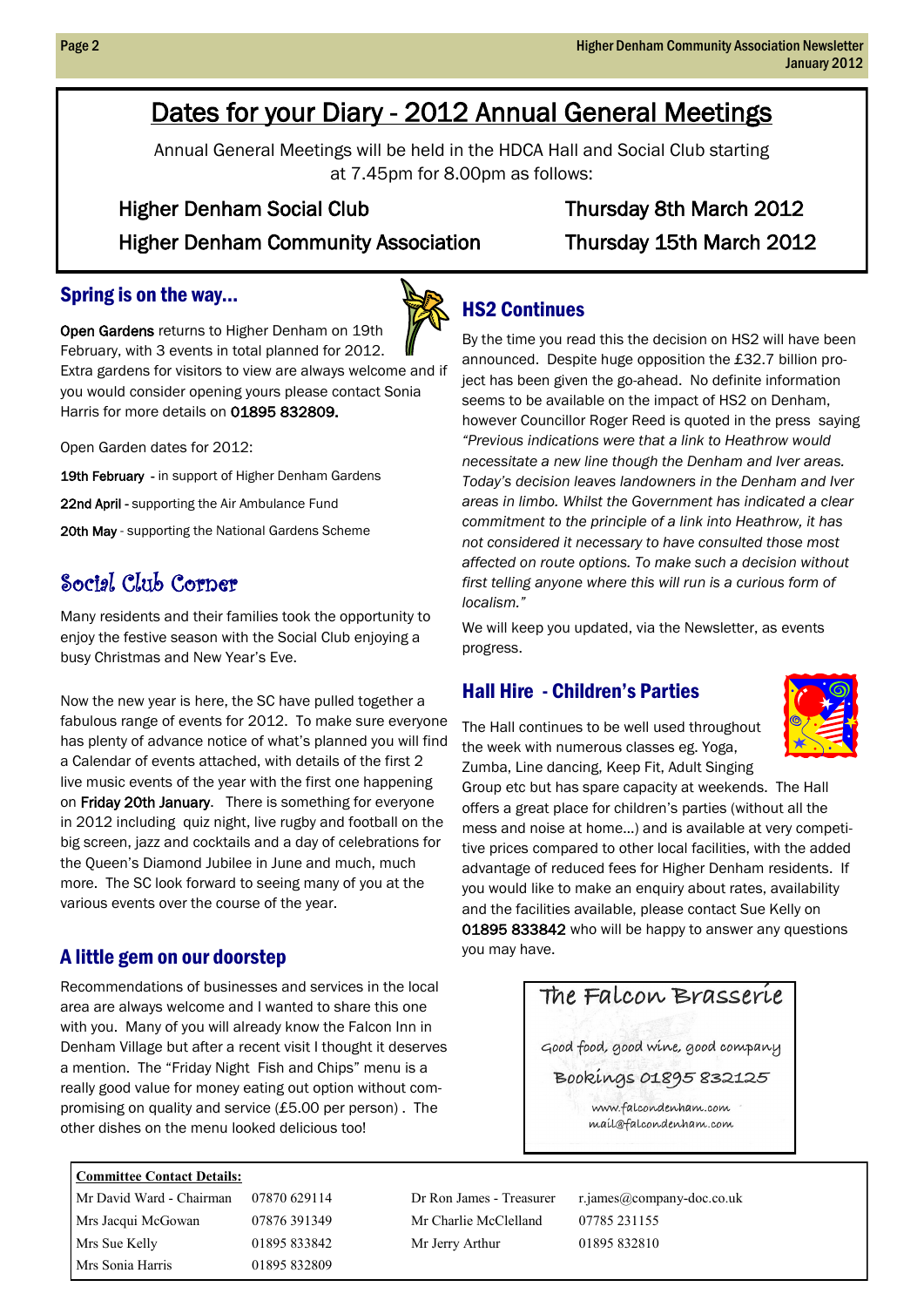## Dates for your Diary - 2012 Annual General Meetings

Annual General Meetings will be held in the HDCA Hall and Social Club starting at 7.45pm for 8.00pm as follows:

### Higher Denham Social Club Thursday 8th March 2012

Higher Denham Community Association Thursday 15th March 2012

#### Spring is on the way...



Open Gardens returns to Higher Denham on 19th February, with 3 events in total planned for 2012. Extra gardens for visitors to view are always welcome and if you would consider opening yours please contact Sonia Harris for more details on 01895 832809.

Open Garden dates for 2012:

19th February - in support of Higher Denham Gardens

22nd April - supporting the Air Ambulance Fund

20th May - supporting the National Gardens Scheme

## Social Club Corner

Many residents and their families took the opportunity to enjoy the festive season with the Social Club enjoying a busy Christmas and New Year's Eve.

Now the new year is here, the SC have pulled together a fabulous range of events for 2012. To make sure everyone has plenty of advance notice of what's planned you will find a Calendar of events attached, with details of the first 2 live music events of the year with the first one happening on Friday 20th January. There is something for everyone in 2012 including quiz night, live rugby and football on the big screen, jazz and cocktails and a day of celebrations for the Queen's Diamond Jubilee in June and much, much more. The SC look forward to seeing many of you at the various events over the course of the year.

## A little gem on our doorstep statements of the system of the state.

Recommendations of businesses and services in the local area are always welcome and I wanted to share this one with you. Many of you will already know the Falcon Inn in Denham Village but after a recent visit I thought it deserves a mention. The "Friday Night Fish and Chips" menu is a really good value for money eating out option without compromising on quality and service (£5.00 per person) . The other dishes on the menu looked delicious too!

#### **Committee Contact Details:**

Mr David Ward - Chairman 07870 629114 Dr Ron James - Treasurer r.james@company-doc.co.uk Mrs Jacqui McGowan 07876 391349 Mr Charlie McClelland 07785 231155 Mrs Sue Kelly **01895 833842** Mr Jerry Arthur **01895 832810** Mrs Sonia Harris 01895 832809

## HS2 Continues

By the time you read this the decision on HS2 will have been announced. Despite huge opposition the £32.7 billion project has been given the go-ahead. No definite information seems to be available on the impact of HS2 on Denham, however Councillor Roger Reed is quoted in the press saying *"Previous indications were that a link to Heathrow would necessitate a new line though the Denham and Iver areas. Today's decision leaves landowners in the Denham and Iver areas in limbo. Whilst the Government has indicated a clear commitment to the principle of a link into Heathrow, it has not considered it necessary to have consulted those most affected on route options. To make such a decision without first telling anyone where this will run is a curious form of localism."*

We will keep you updated, via the Newsletter, as events progress.

## Hall Hire - Children's Parties

The Hall continues to be well used throughout the week with numerous classes eg. Yoga, Zumba, Line dancing, Keep Fit, Adult Singing



Group etc but has spare capacity at weekends. The Hall offers a great place for children's parties (without all the mess and noise at home…) and is available at very competitive prices compared to other local facilities, with the added advantage of reduced fees for Higher Denham residents. If you would like to make an enquiry about rates, availability and the facilities available, please contact Sue Kelly on 01895 833842 who will be happy to answer any questions

## The Falcon Brasserie

Good food, good wine, good company

Bookings 01895 832125

www.falcondenham.com mail@falcondenham.com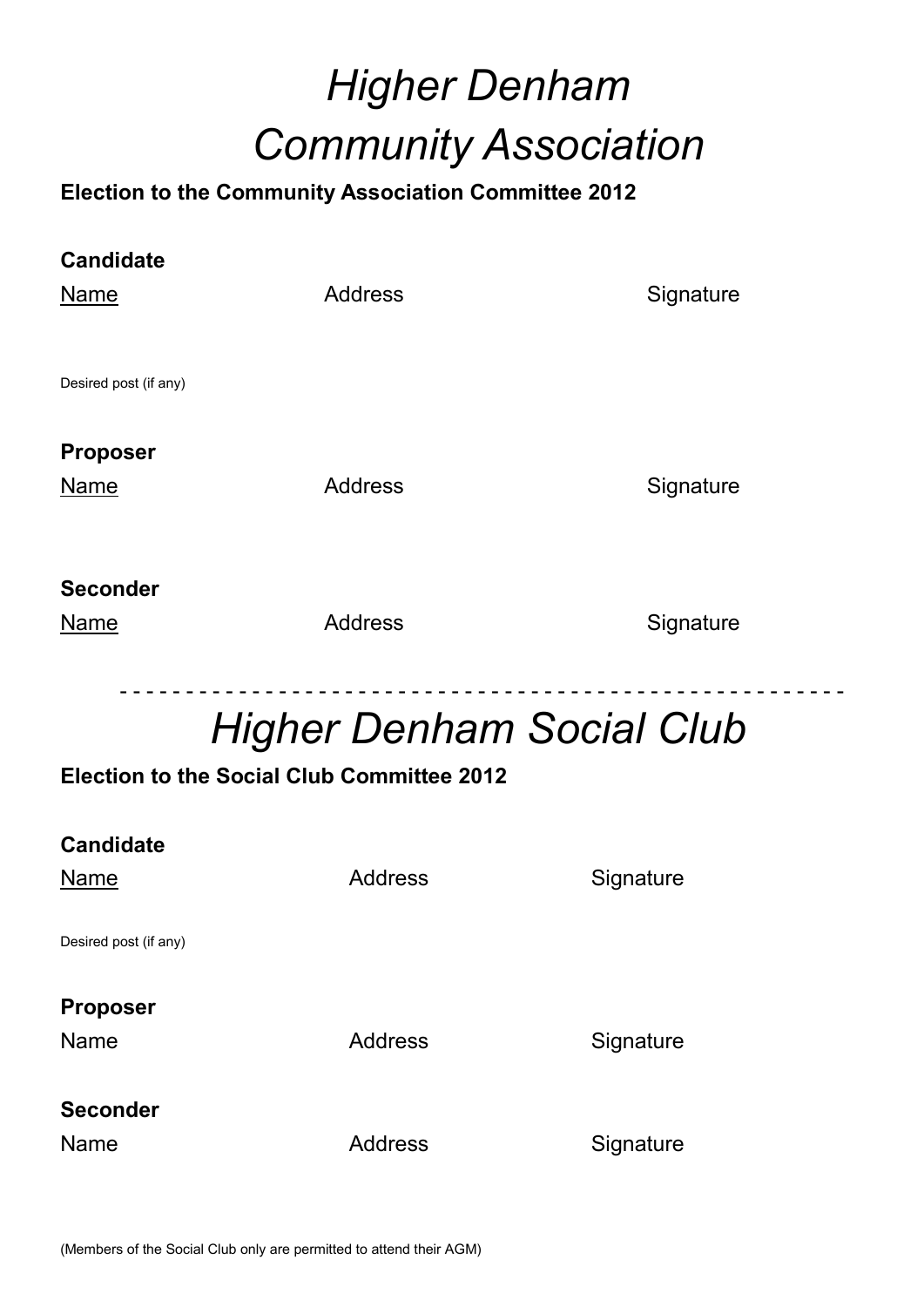# *Higher Denham Community Association*

## **Election to the Community Association Committee 2012**

| <b>Candidate</b>      |                |           |
|-----------------------|----------------|-----------|
| <b>Name</b>           | <b>Address</b> | Signature |
| Desired post (if any) |                |           |
| <b>Proposer</b>       |                |           |
| <b>Name</b>           | <b>Address</b> | Signature |
| <b>Seconder</b>       |                |           |
| Name                  | <b>Address</b> | Signature |

# *Higher Denham Social Club*

- - - - - - - - - - - - - - - - - - - - - - - - - - - - - - - - - - - - - - - - - - - - - - - - - - - - - - -

## **Election to the Social Club Committee 2012**

| <b>Candidate</b><br>Name | <b>Address</b> | Signature |
|--------------------------|----------------|-----------|
| Desired post (if any)    |                |           |
| <b>Proposer</b><br>Name  | <b>Address</b> | Signature |
| Seconder                 |                |           |
| Name                     | <b>Address</b> | Signature |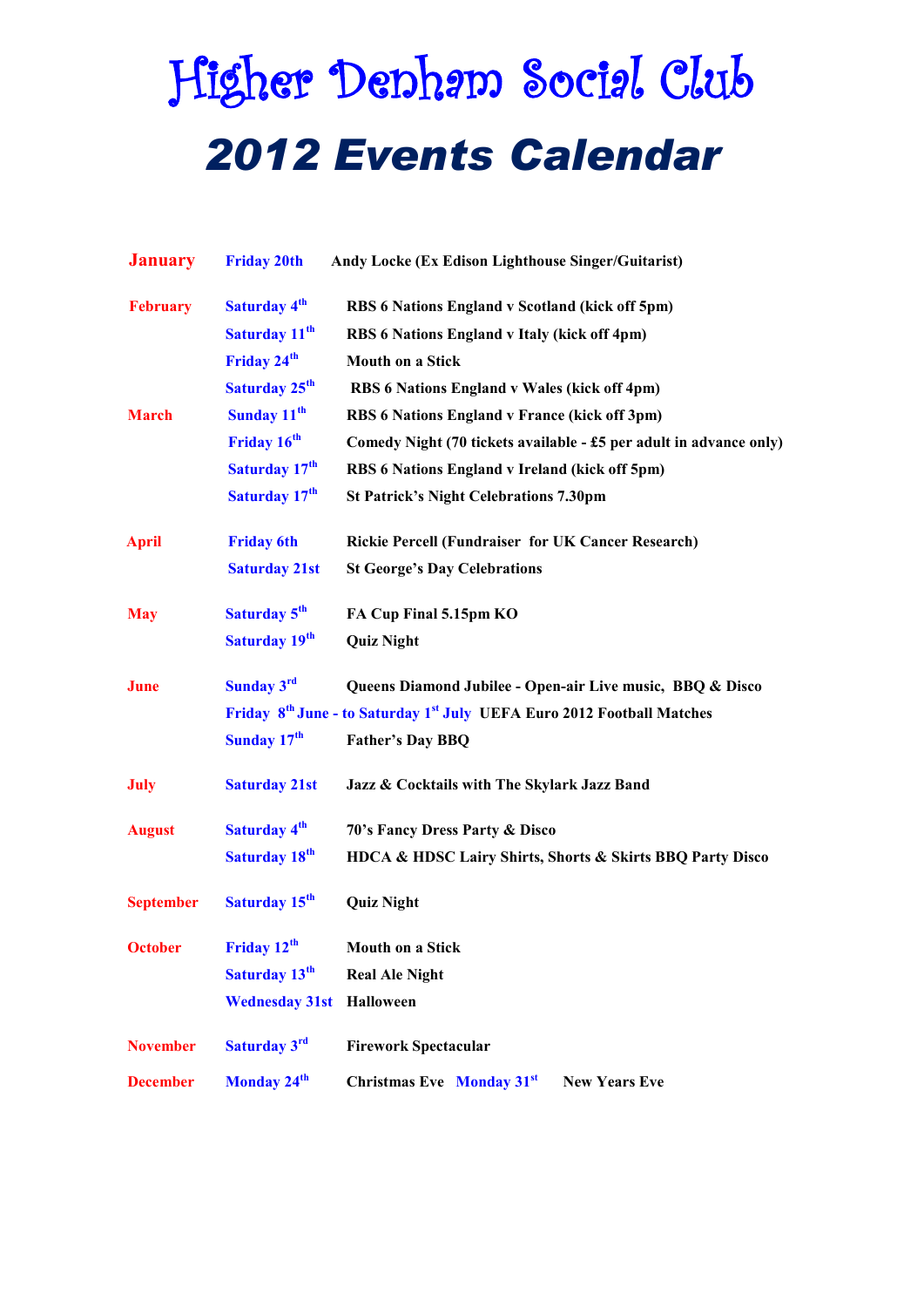# Higher Denham Social Club *2012 Events Calendar*

| <b>January</b>   | <b>Friday 20th</b>        | Andy Locke (Ex Edison Lighthouse Singer/Guitarist)                                             |
|------------------|---------------------------|------------------------------------------------------------------------------------------------|
| <b>February</b>  | <b>Saturday 4th</b>       | RBS 6 Nations England v Scotland (kick off 5pm)                                                |
|                  | Saturday 11 <sup>th</sup> | RBS 6 Nations England v Italy (kick off 4pm)                                                   |
|                  | Friday 24 <sup>th</sup>   | <b>Mouth on a Stick</b>                                                                        |
|                  | Saturday 25 <sup>th</sup> | RBS 6 Nations England v Wales (kick off 4pm)                                                   |
| <b>March</b>     | Sunday 11 <sup>th</sup>   | RBS 6 Nations England v France (kick off 3pm)                                                  |
|                  | Friday 16 <sup>th</sup>   | Comedy Night (70 tickets available - £5 per adult in advance only)                             |
|                  | Saturday 17 <sup>th</sup> | RBS 6 Nations England v Ireland (kick off 5pm)                                                 |
|                  | Saturday 17 <sup>th</sup> | <b>St Patrick's Night Celebrations 7.30pm</b>                                                  |
| <b>April</b>     | <b>Friday 6th</b>         | Rickie Percell (Fundraiser for UK Cancer Research)                                             |
|                  | <b>Saturday 21st</b>      | <b>St George's Day Celebrations</b>                                                            |
| <b>May</b>       | Saturday 5 <sup>th</sup>  | FA Cup Final 5.15pm KO                                                                         |
|                  | Saturday 19 <sup>th</sup> | <b>Quiz Night</b>                                                                              |
| <b>June</b>      | Sunday 3rd                | Queens Diamond Jubilee - Open-air Live music, BBQ & Disco                                      |
|                  |                           | Friday 8 <sup>th</sup> June - to Saturday 1 <sup>st</sup> July UEFA Euro 2012 Football Matches |
|                  | Sunday 17 <sup>th</sup>   | <b>Father's Day BBQ</b>                                                                        |
| <b>July</b>      | <b>Saturday 21st</b>      | Jazz & Cocktails with The Skylark Jazz Band                                                    |
| <b>August</b>    | Saturday 4 <sup>th</sup>  | 70's Fancy Dress Party & Disco                                                                 |
|                  | Saturday 18 <sup>th</sup> | HDCA & HDSC Lairy Shirts, Shorts & Skirts BBQ Party Disco                                      |
| <b>September</b> | Saturday 15 <sup>th</sup> | <b>Quiz Night</b>                                                                              |
| October          | Friday 12 <sup>th</sup>   | Mouth on a Stick                                                                               |
|                  | Saturday 13 <sup>th</sup> | <b>Real Ale Night</b>                                                                          |
|                  | <b>Wednesday 31st</b>     | Halloween                                                                                      |
| <b>November</b>  | Saturday 3rd              | <b>Firework Spectacular</b>                                                                    |
| <b>December</b>  | Monday 24 <sup>th</sup>   | <b>Christmas Eve</b> Monday 31 <sup>st</sup><br><b>New Years Eve</b>                           |